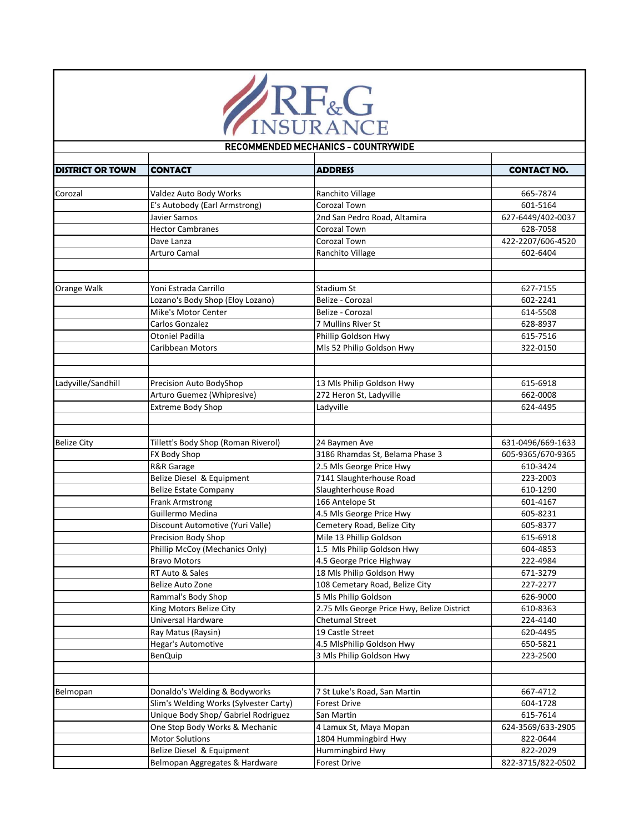

## **DISTRICT OR TOWN CONTACT ADDRESS CONTACT NO.** Corozal Valdez Auto Body Works Ranchito Village 665-7874 E's Autobody (Earl Armstrong) Corozal Town 601-5164 Javier Samos 2nd San Pedro Road, Altamira 627-6449/402-0037 Hector Cambranes **Coronal Town Coronal Town** 628-7058 Dave Lanza 2007/606-4520 Arturo Camal **Ranchito Village 1996 Ranchito Village 1996 1997 1997 1998 1998 1998 1998 1999 1999 1999 1999 1999 1999 1999 1999 1999 1999 1999 1999 1999 1999 1999 1999 19** Orange Walk **Yoni Estrada Carrillo** Stadium St **Stadium St** Stadium St 627-7155 Lozano's Body Shop (Eloy Lozano) Belize - Corozal **602-2241** Mike's Motor Center **Belize - Corozal** Belize - Corozal **614-5508** Carlos Gonzalez **7 Mullins River St 628-8937** Otoniel Padilla Phillip Goldson Hwy 615-7516 Caribbean Motors **Michael Access 19 All Access Philip Goldson Hwy** 322-0150 Ladyville/Sandhill Precision Auto BodyShop 13 Mls Philip Goldson Hwy 615-6918 Arturo Guemez (Whipresive) 272 Heron St, Ladyville 662-0008 Extreme Body Shop **Ladyville Ladyville** 624-4495 Belize City **Tillett's Body Shop (Roman Riverol)** 24 Baymen Ave **631-0496/669-1633** 631-0496/669-1633 FX Body Shop 3186 Rhamdas St, Belama Phase 3 605-9365/670-9365 R&R Garage 2.5 Mls George Price Hwy 610-3424 Belize Diesel & Equipment 7141 Slaughterhouse Road 223-2003 Belize Estate Company **Slaughterhouse Road** 610-1290 Frank Armstrong **166 Antelope St** 601-4167 Guillermo Medina **605-8231** 4.5 Mls George Price Hwy **605-8231** Discount Automotive (Yuri Valle) Cemetery Road, Belize City **Cametery Road, Belize City** 605-8377 Precision Body Shop Mile 13 Phillip Goldson 615-6918 Phillip McCoy (Mechanics Only) 1.5 Mls Philip Goldson Hwy 604-4853 Bravo Motors **1988 1222-4984 1222-4984 13.5 George Price Highway 1222-4984** RT Auto & Sales **18 Mls Philip Goldson Hwy** 671-3279 671-3279 Belize Auto Zone 108 Cemetary Road, Belize City 227-2277 Rammal's Body Shop 5 Mls Philip Goldson 626-9000 King Motors Belize City **2.75 Mls George Price Hwy, Belize District** 610-8363 Universal Hardware Chetumal Street [224-4140](https://www.google.com/search?q=universal+hardware+belize&rlz=1C1GCEU_enBZ820BZ820&oq=universal+hardware+belize&aqs=chrome..69i57.7947j0j8&sourceid=chrome&ie=UTF-8) Ray Matus (Raysin) 19 Castle Street 620-4495 Hegar's Automotive 4.5 MlsPhilip Goldson Hwy 650-5821 BenQuip 3 Mls Philip Goldson Hwy 223-2500 Belmopan Donaldo's Welding & Bodyworks 7 St Luke's Road, San Martin 667-4712 Slim's Welding Works (Sylvester Carty) Forest Drive 604-1728 Unique Body Shop/ Gabriel Rodriguez San Martin 615-7614 One Stop Body Works & Mechanic 4 Lamux St, Maya Mopan 1988 1989 624-3569/633-2905 Motor Solutions **1804 Hummingbird Hwy** 1804 Hummingbird Hwy Belize Diesel & Equipment **Hummingbird Hwy Belize Diesel & Equipment** 822-2029 RECOMMENDED MECHANICS - COUNTRYWIDE

Belmopan Aggregates & Hardware Forest Drive 822-3715/822-0502